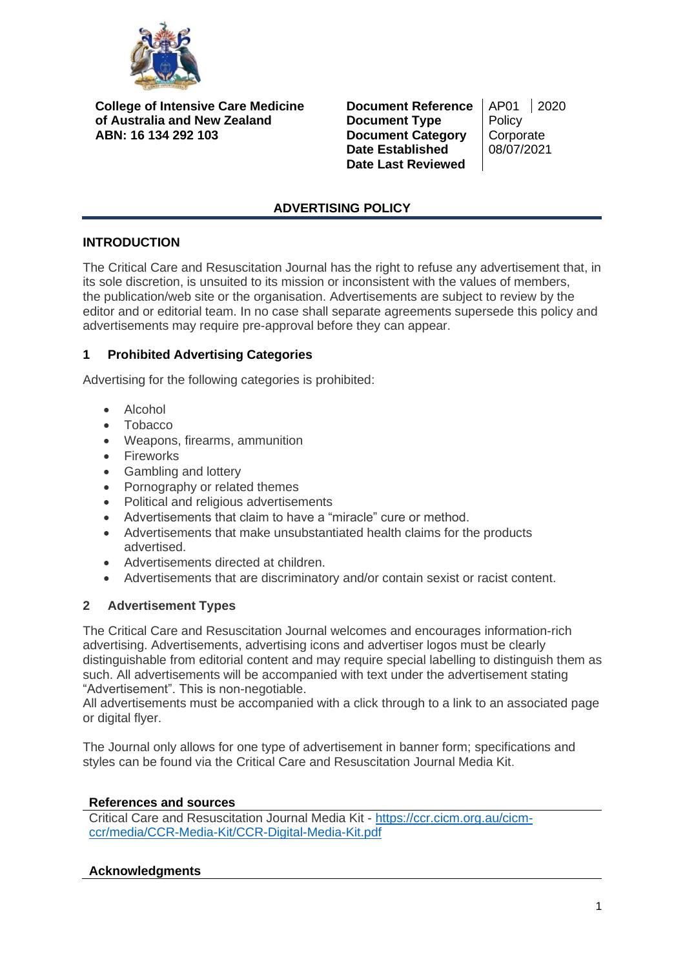

**College of Intensive Care Medicine of Australia and New Zealand ABN: 16 134 292 103**

**Document Reference** | AP01 | 2020 **Document Type** Policy **Document Category** | Corporate **Date Established** 08/07/2021 **Date Last Reviewed**

# **ADVERTISING POLICY**

# **INTRODUCTION**

The Critical Care and Resuscitation Journal has the right to refuse any advertisement that, in its sole discretion, is unsuited to its mission or inconsistent with the values of members, the publication/web site or the organisation. Advertisements are subject to review by the editor and or editorial team. In no case shall separate agreements supersede this policy and advertisements may require pre-approval before they can appear.

# **1 Prohibited Advertising Categories**

Advertising for the following categories is prohibited:

- Alcohol
- Tobacco
- Weapons, firearms, ammunition
- Fireworks
- Gambling and lottery
- Pornography or related themes
- Political and religious advertisements
- Advertisements that claim to have a "miracle" cure or method.
- Advertisements that make unsubstantiated health claims for the products advertised.
- Advertisements directed at children.
- Advertisements that are discriminatory and/or contain sexist or racist content.

# **2 Advertisement Types**

The Critical Care and Resuscitation Journal welcomes and encourages information-rich advertising. Advertisements, advertising icons and advertiser logos must be clearly distinguishable from editorial content and may require special labelling to distinguish them as such. All advertisements will be accompanied with text under the advertisement stating "Advertisement". This is non-negotiable.

All advertisements must be accompanied with a click through to a link to an associated page or digital flyer.

The Journal only allows for one type of advertisement in banner form; specifications and styles can be found via the Critical Care and Resuscitation Journal Media Kit.

### **References and sources**

Critical Care and Resuscitation Journal Media Kit - [https://ccr.cicm.org.au/cicm](https://ccr.cicm.org.au/cicm-ccr/media/CCR-Media-Kit/CCR-Digital-Media-Kit.pdf)[ccr/media/CCR-Media-Kit/CCR-Digital-Media-Kit.pdf](https://ccr.cicm.org.au/cicm-ccr/media/CCR-Media-Kit/CCR-Digital-Media-Kit.pdf)

### **Acknowledgments**